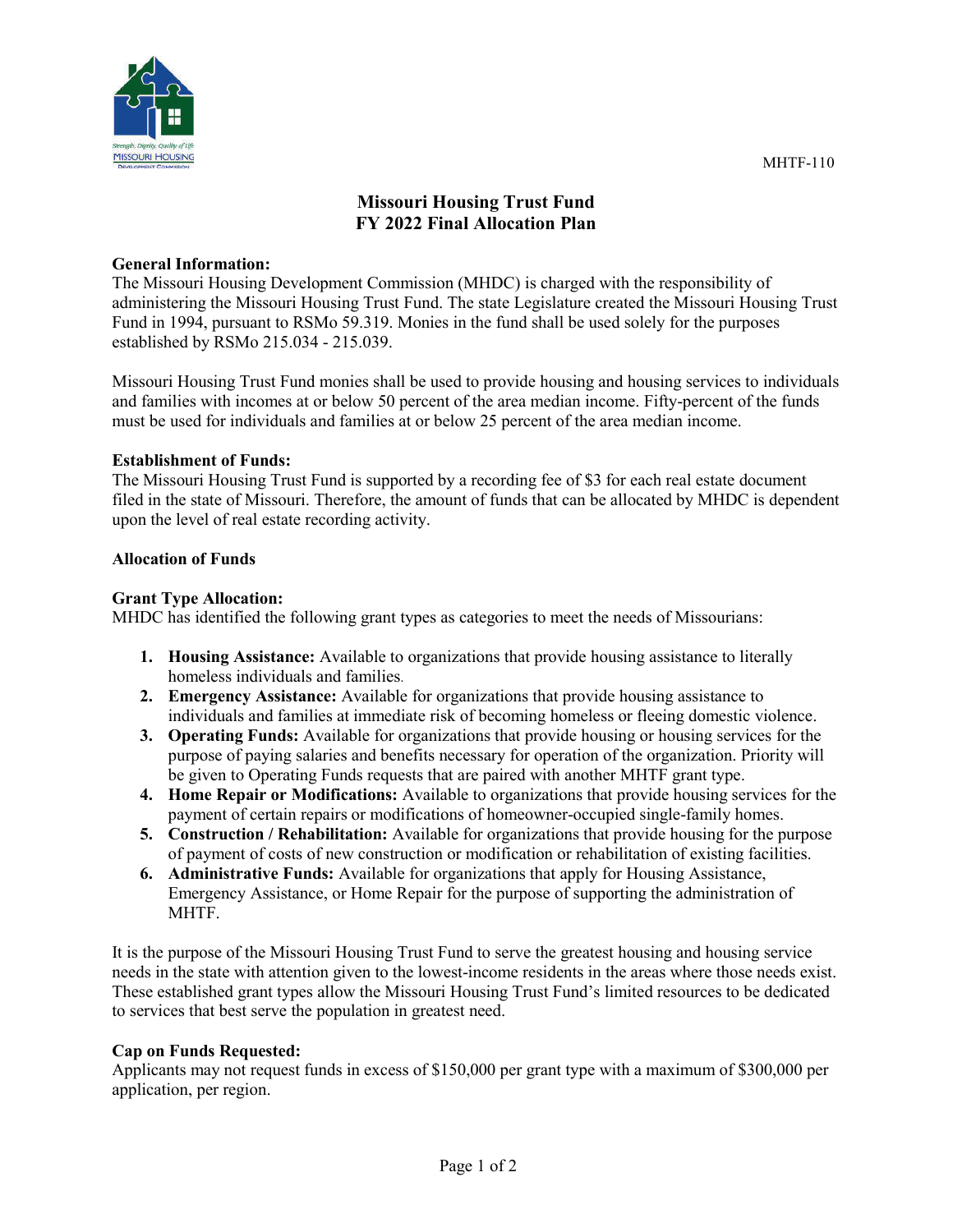

# **Missouri Housing Trust Fund FY 2022 Final Allocation Plan**

#### **General Information:**

The Missouri Housing Development Commission (MHDC) is charged with the responsibility of administering the Missouri Housing Trust Fund. The state Legislature created the Missouri Housing Trust Fund in 1994, pursuant to RSMo 59.319. Monies in the fund shall be used solely for the purposes established by RSMo 215.034 - 215.039.

Missouri Housing Trust Fund monies shall be used to provide housing and housing services to individuals and families with incomes at or below 50 percent of the area median income. Fifty-percent of the funds must be used for individuals and families at or below 25 percent of the area median income.

## **Establishment of Funds:**

The Missouri Housing Trust Fund is supported by a recording fee of \$3 for each real estate document filed in the state of Missouri. Therefore, the amount of funds that can be allocated by MHDC is dependent upon the level of real estate recording activity.

## **Allocation of Funds**

## **Grant Type Allocation:**

MHDC has identified the following grant types as categories to meet the needs of Missourians:

- **1. Housing Assistance:** Available to organizations that provide housing assistance to literally homeless individuals and families.
- **2. Emergency Assistance:** Available for organizations that provide housing assistance to individuals and families at immediate risk of becoming homeless or fleeing domestic violence.
- **3. Operating Funds:** Available for organizations that provide housing or housing services for the purpose of paying salaries and benefits necessary for operation of the organization. Priority will be given to Operating Funds requests that are paired with another MHTF grant type.
- **4. Home Repair or Modifications:** Available to organizations that provide housing services for the payment of certain repairs or modifications of homeowner-occupied single-family homes.
- **5. Construction / Rehabilitation:** Available for organizations that provide housing for the purpose of payment of costs of new construction or modification or rehabilitation of existing facilities.
- **6. Administrative Funds:** Available for organizations that apply for Housing Assistance, Emergency Assistance, or Home Repair for the purpose of supporting the administration of MHTF.

It is the purpose of the Missouri Housing Trust Fund to serve the greatest housing and housing service needs in the state with attention given to the lowest-income residents in the areas where those needs exist. These established grant types allow the Missouri Housing Trust Fund's limited resources to be dedicated to services that best serve the population in greatest need.

#### **Cap on Funds Requested:**

Applicants may not request funds in excess of \$150,000 per grant type with a maximum of \$300,000 per application, per region.